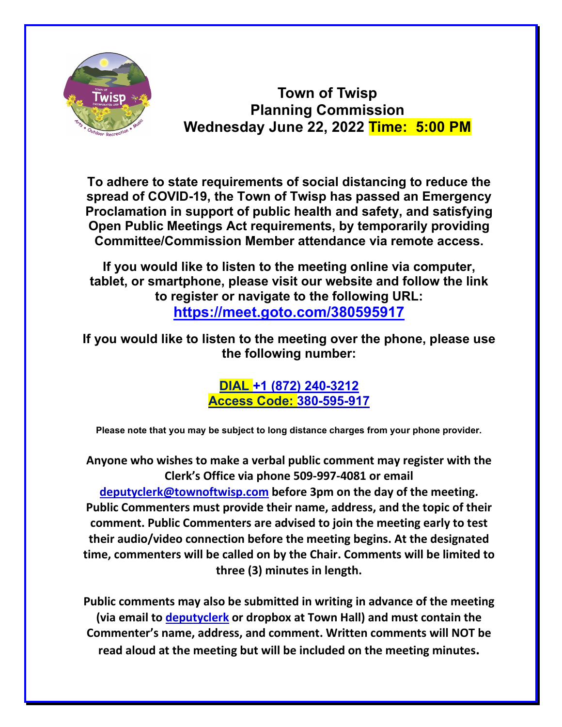

**Town of Twisp Planning Commission Wednesday June 22, 2022 Time: 5:00 PM**

**To adhere to state requirements of social distancing to reduce the spread of COVID-19, the Town of Twisp has passed an Emergency Proclamation in support of public health and safety, and satisfying Open Public Meetings Act requirements, by temporarily providing Committee/Commission Member attendance via remote access.**

**If you would like to listen to the meeting online via computer, tablet, or smartphone, please visit our website and follow the link to register or navigate to the following URL: <https://meet.goto.com/380595917>**

**If you would like to listen to the meeting over the phone, please use the following number:**

> **DIAL +1 (872) 240-3212 Access Code: 380-595-917**

**Please note that you may be subject to long distance charges from your phone provider.**

**Anyone who wishes to make a verbal public comment may register with the Clerk's Office via phone 509-997-4081 or email [deputyclerk@townoftwisp.com](mailto:deputyclerk@townoftwisp.com) before 3pm on the day of the meeting. Public Commenters must provide their name, address, and the topic of their comment. Public Commenters are advised to join the meeting early to test their audio/video connection before the meeting begins. At the designated time, commenters will be called on by the Chair. Comments will be limited to three (3) minutes in length.**

**Public comments may also be submitted in writing in advance of the meeting (via email to [deputyclerk](mailto:clerktreasurer@townoftwisp.com) or dropbox at Town Hall) and must contain the Commenter's name, address, and comment. Written comments will NOT be read aloud at the meeting but will be included on the meeting minutes.**